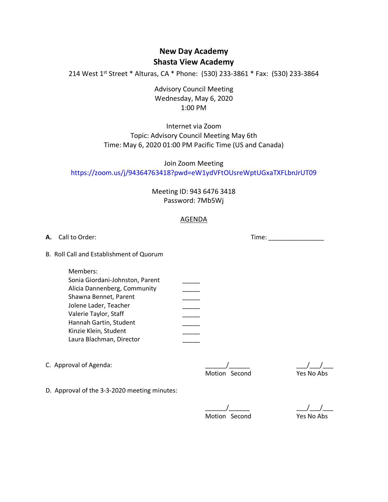# **New Day Academy Shasta View Academy**

214 West 1<sup>st</sup> Street \* Alturas, CA \* Phone: (530) 233-3861 \* Fax: (530) 233-3864

Advisory Council Meeting Wednesday, May 6, 2020 1:00 PM

# Internet via Zoom Topic: Advisory Council Meeting May 6th Time: May 6, 2020 01:00 PM Pacific Time (US and Canada)

Join Zoom Meeting https://zoom.us/j/94364763418?pwd=eW1ydVFtOUsreWptUGxaTXFLbnJrUT09

> Meeting ID: 943 6476 3418 Password: 7Mb5Wj

## AGENDA

**A.** Call to Order: Time: B. Roll Call and Establishment of Quorum Members: Sonia Giordani-Johnston, Parent<br>
Alicia Dannenberg, Community<br>
Shawna Bennet, Parent<br>
Jolene Lader, Teacher<br>
Valerie Taylor, Staff<br>
Hannah Gartin, Student<br>
Kinzie Klein, Student<br>
Laure Placheren, Piecher Alicia Dannenberg, Community Shawna Bennet, Parent Jolene Lader, Teacher Valerie Taylor, Staff \_\_\_\_\_ Hannah Gartin, Student Kinzie Klein, Student Laura Blachman, Director C. Approval of Agenda:  $\begin{array}{ccc} \hline \end{array}$   $\begin{array}{ccc} \hline \end{array}$ Motion Second Yes No Abs D. Approval of the 3-3-2020 meeting minutes:

Motion Second Yes No Abs

 $\_\,\_\,\_\,\_\,\_\,\_\$